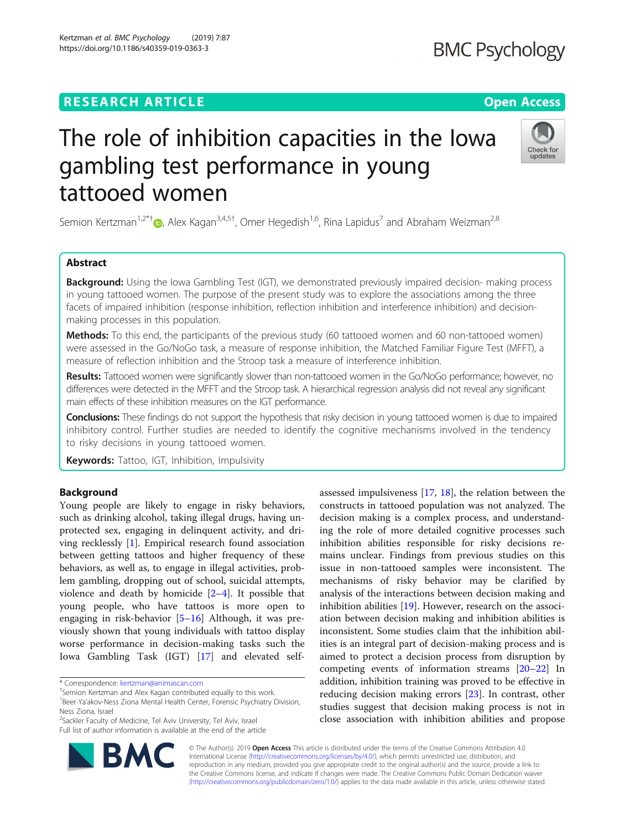# **RESEARCH ARTICLE Example 2014 CONSIDERING A RESEARCH ARTICLE**

# The role of inhibition capacities in the Iowa gambling test performance in young tattooed women

Semion Kertzman<sup>1,2\*[†](http://orcid.org/0000-0003-4846-9898)</sup>®, Alex Kagan<sup>3,4,5†</sup>, Omer Hegedish<sup>1,6</sup>, Rina Lapidus<sup>7</sup> and Abraham Weizman<sup>2,8</sup>

# Abstract

**Background:** Using the Iowa Gambling Test (IGT), we demonstrated previously impaired decision- making process in young tattooed women. The purpose of the present study was to explore the associations among the three facets of impaired inhibition (response inhibition, reflection inhibition and interference inhibition) and decisionmaking processes in this population.

Methods: To this end, the participants of the previous study (60 tattooed women and 60 non-tattooed women) were assessed in the Go/NoGo task, a measure of response inhibition, the Matched Familiar Figure Test (MFFT), a measure of reflection inhibition and the Stroop task a measure of interference inhibition.

Results: Tattooed women were significantly slower than non-tattooed women in the Go/NoGo performance; however, no differences were detected in the MFFT and the Stroop task. A hierarchical regression analysis did not reveal any significant main effects of these inhibition measures on the IGT performance.

Conclusions: These findings do not support the hypothesis that risky decision in young tattooed women is due to impaired inhibitory control. Further studies are needed to identify the cognitive mechanisms involved in the tendency to risky decisions in young tattooed women.

**Keywords:** Tattoo, IGT, Inhibition, Impulsivity

# Background

Young people are likely to engage in risky behaviors, such as drinking alcohol, taking illegal drugs, having unprotected sex, engaging in delinquent activity, and driving recklessly [\[1](#page-7-0)]. Empirical research found association between getting tattoos and higher frequency of these behaviors, as well as, to engage in illegal activities, problem gambling, dropping out of school, suicidal attempts, violence and death by homicide  $[2-4]$  $[2-4]$  $[2-4]$  $[2-4]$ . It possible that young people, who have tattoos is more open to engaging in risk-behavior [[5](#page-7-0)–[16\]](#page-7-0) Although, it was previously shown that young individuals with tattoo display worse performance in decision-making tasks such the Iowa Gambling Task (IGT) [\[17\]](#page-7-0) and elevated self-

<sup>+</sup>Semion Kertzman and Alex Kagan contributed equally to this work. 1 Beer-Ya'akov-Ness Ziona Mental Health Center, Forensic Psychiatry Division, Ness Ziona, Israel

<sup>2</sup>Sackler Faculty of Medicine, Tel Aviv University, Tel Aviv, Israel Full list of author information is available at the end of the article

> © The Author(s). 2019 **Open Access** This article is distributed under the terms of the Creative Commons Attribution 4.0 International License [\(http://creativecommons.org/licenses/by/4.0/](http://creativecommons.org/licenses/by/4.0/)), which permits unrestricted use, distribution, and reproduction in any medium, provided you give appropriate credit to the original author(s) and the source, provide a link to the Creative Commons license, and indicate if changes were made. The Creative Commons Public Domain Dedication waiver [\(http://creativecommons.org/publicdomain/zero/1.0/](http://creativecommons.org/publicdomain/zero/1.0/)) applies to the data made available in this article, unless otherwise stated.

assessed impulsiveness [\[17](#page-7-0), [18](#page-7-0)], the relation between the constructs in tattooed population was not analyzed. The decision making is a complex process, and understanding the role of more detailed cognitive processes such inhibition abilities responsible for risky decisions remains unclear. Findings from previous studies on this issue in non-tattooed samples were inconsistent. The mechanisms of risky behavior may be clarified by analysis of the interactions between decision making and inhibition abilities [[19\]](#page-7-0). However, research on the association between decision making and inhibition abilities is inconsistent. Some studies claim that the inhibition abilities is an integral part of decision-making process and is aimed to protect a decision process from disruption by competing events of information streams [\[20](#page-7-0)–[22\]](#page-7-0) In addition, inhibition training was proved to be effective in reducing decision making errors [[23](#page-7-0)]. In contrast, other studies suggest that decision making process is not in close association with inhibition abilities and propose







Check for undates

<sup>\*</sup> Correspondence: [kertzman@animascan.com](mailto:kertzman@animascan.com) †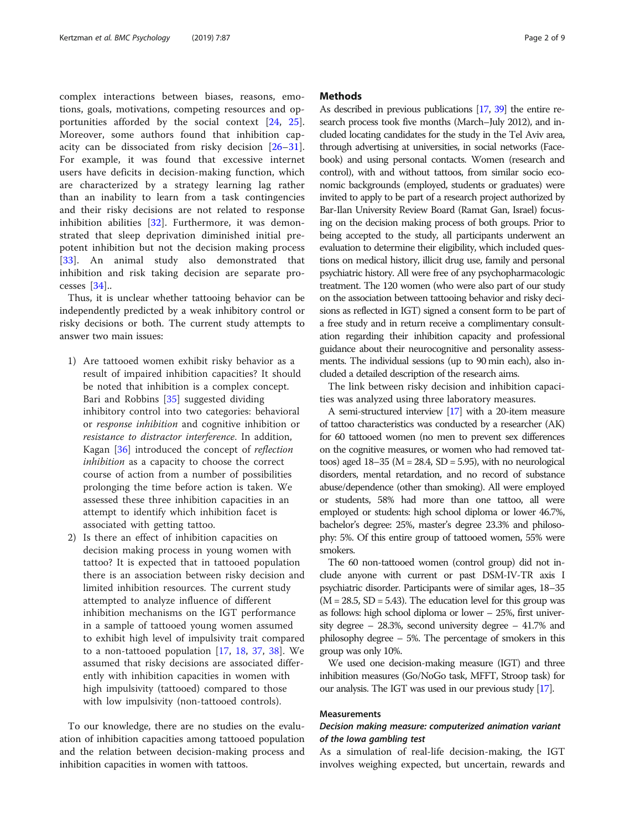complex interactions between biases, reasons, emotions, goals, motivations, competing resources and opportunities afforded by the social context [\[24](#page-7-0), [25](#page-7-0)]. Moreover, some authors found that inhibition capacity can be dissociated from risky decision [\[26](#page-7-0)–[31](#page-7-0)]. For example, it was found that excessive internet users have deficits in decision-making function, which are characterized by a strategy learning lag rather than an inability to learn from a task contingencies and their risky decisions are not related to response inhibition abilities [[32\]](#page-7-0). Furthermore, it was demonstrated that sleep deprivation diminished initial prepotent inhibition but not the decision making process [[33\]](#page-7-0). An animal study also demonstrated that inhibition and risk taking decision are separate processes [[34\]](#page-7-0)..

Thus, it is unclear whether tattooing behavior can be independently predicted by a weak inhibitory control or risky decisions or both. The current study attempts to answer two main issues:

- 1) Are tattooed women exhibit risky behavior as a result of impaired inhibition capacities? It should be noted that inhibition is a complex concept. Bari and Robbins [[35\]](#page-7-0) suggested dividing inhibitory control into two categories: behavioral or response inhibition and cognitive inhibition or resistance to distractor interference. In addition, Kagan [[36\]](#page-7-0) introduced the concept of reflection inhibition as a capacity to choose the correct course of action from a number of possibilities prolonging the time before action is taken. We assessed these three inhibition capacities in an attempt to identify which inhibition facet is associated with getting tattoo.
- 2) Is there an effect of inhibition capacities on decision making process in young women with tattoo? It is expected that in tattooed population there is an association between risky decision and limited inhibition resources. The current study attempted to analyze influence of different inhibition mechanisms on the IGT performance in a sample of tattooed young women assumed to exhibit high level of impulsivity trait compared to a non-tattooed population [[17](#page-7-0), [18](#page-7-0), [37](#page-7-0), [38](#page-7-0)]. We assumed that risky decisions are associated differently with inhibition capacities in women with high impulsivity (tattooed) compared to those with low impulsivity (non-tattooed controls).

To our knowledge, there are no studies on the evaluation of inhibition capacities among tattooed population and the relation between decision-making process and inhibition capacities in women with tattoos.

# **Methods**

As described in previous publications [[17,](#page-7-0) [39](#page-7-0)] the entire research process took five months (March–July 2012), and included locating candidates for the study in the Tel Aviv area, through advertising at universities, in social networks (Facebook) and using personal contacts. Women (research and control), with and without tattoos, from similar socio economic backgrounds (employed, students or graduates) were invited to apply to be part of a research project authorized by Bar-Ilan University Review Board (Ramat Gan, Israel) focusing on the decision making process of both groups. Prior to being accepted to the study, all participants underwent an evaluation to determine their eligibility, which included questions on medical history, illicit drug use, family and personal psychiatric history. All were free of any psychopharmacologic treatment. The 120 women (who were also part of our study on the association between tattooing behavior and risky decisions as reflected in IGT) signed a consent form to be part of a free study and in return receive a complimentary consultation regarding their inhibition capacity and professional guidance about their neurocognitive and personality assessments. The individual sessions (up to 90 min each), also included a detailed description of the research aims.

The link between risky decision and inhibition capacities was analyzed using three laboratory measures.

A semi-structured interview [[17\]](#page-7-0) with a 20-item measure of tattoo characteristics was conducted by a researcher (AK) for 60 tattooed women (no men to prevent sex differences on the cognitive measures, or women who had removed tattoos) aged  $18-35$  (M = 28.4, SD = 5.95), with no neurological disorders, mental retardation, and no record of substance abuse/dependence (other than smoking). All were employed or students, 58% had more than one tattoo, all were employed or students: high school diploma or lower 46.7%, bachelor's degree: 25%, master's degree 23.3% and philosophy: 5%. Of this entire group of tattooed women, 55% were smokers.

The 60 non-tattooed women (control group) did not include anyone with current or past DSM-IV-TR axis I psychiatric disorder. Participants were of similar ages, 18–35  $(M = 28.5, SD = 5.43)$ . The education level for this group was as follows: high school diploma or lower – 25%, first university degree – 28.3%, second university degree – 41.7% and philosophy degree – 5%. The percentage of smokers in this group was only 10%.

We used one decision-making measure (IGT) and three inhibition measures (Go/NoGo task, MFFT, Stroop task) for our analysis. The IGT was used in our previous study [\[17\]](#page-7-0).

# Measurements

# Decision making measure: computerized animation variant of the Iowa gambling test

As a simulation of real-life decision-making, the IGT involves weighing expected, but uncertain, rewards and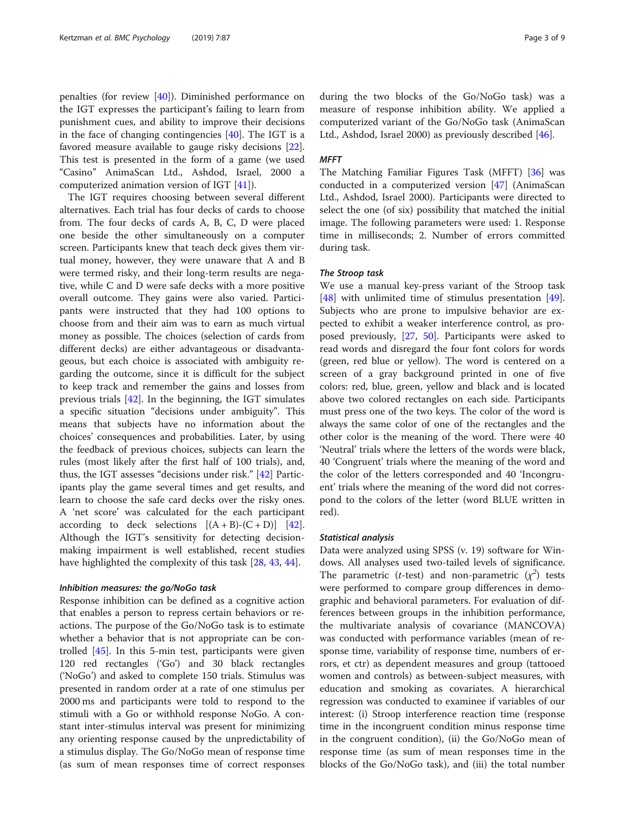penalties (for review [[40\]](#page-7-0)). Diminished performance on the IGT expresses the participant's failing to learn from punishment cues, and ability to improve their decisions in the face of changing contingencies [[40\]](#page-7-0). The IGT is a favored measure available to gauge risky decisions [\[22](#page-7-0)]. This test is presented in the form of a game (we used "Casino" AnimaScan Ltd., Ashdod, Israel, 2000 a computerized animation version of IGT [\[41](#page-7-0)]).

The IGT requires choosing between several different alternatives. Each trial has four decks of cards to choose from. The four decks of cards A, B, C, D were placed one beside the other simultaneously on a computer screen. Participants knew that teach deck gives them virtual money, however, they were unaware that A and B were termed risky, and their long-term results are negative, while C and D were safe decks with a more positive overall outcome. They gains were also varied. Participants were instructed that they had 100 options to choose from and their aim was to earn as much virtual money as possible. The choices (selection of cards from different decks) are either advantageous or disadvantageous, but each choice is associated with ambiguity regarding the outcome, since it is difficult for the subject to keep track and remember the gains and losses from previous trials [[42\]](#page-7-0). In the beginning, the IGT simulates a specific situation "decisions under ambiguity". This means that subjects have no information about the choices' consequences and probabilities. Later, by using the feedback of previous choices, subjects can learn the rules (most likely after the first half of 100 trials), and, thus, the IGT assesses "decisions under risk." [\[42](#page-7-0)] Participants play the game several times and get results, and learn to choose the safe card decks over the risky ones. A 'net score' was calculated for the each participant according to deck selections  $[(A + B) - (C + D)]$  [\[42](#page-7-0)]. Although the IGT's sensitivity for detecting decisionmaking impairment is well established, recent studies have highlighted the complexity of this task [[28](#page-7-0), [43](#page-7-0), [44](#page-7-0)].

## Inhibition measures: the go/NoGo task

Response inhibition can be defined as a cognitive action that enables a person to repress certain behaviors or reactions. The purpose of the Go/NoGo task is to estimate whether a behavior that is not appropriate can be controlled [[45\]](#page-7-0). In this 5-min test, participants were given 120 red rectangles ('Go') and 30 black rectangles ('NoGo') and asked to complete 150 trials. Stimulus was presented in random order at a rate of one stimulus per 2000 ms and participants were told to respond to the stimuli with a Go or withhold response NoGo. A constant inter-stimulus interval was present for minimizing any orienting response caused by the unpredictability of a stimulus display. The Go/NoGo mean of response time (as sum of mean responses time of correct responses during the two blocks of the Go/NoGo task) was a measure of response inhibition ability. We applied a computerized variant of the Go/NoGo task (AnimaScan Ltd., Ashdod, Israel 2000) as previously described [[46\]](#page-7-0).

## MFFT

The Matching Familiar Figures Task (MFFT) [[36\]](#page-7-0) was conducted in a computerized version [\[47\]](#page-7-0) (AnimaScan Ltd., Ashdod, Israel 2000). Participants were directed to select the one (of six) possibility that matched the initial image. The following parameters were used: 1. Response time in milliseconds; 2. Number of errors committed during task.

## The Stroop task

We use a manual key-press variant of the Stroop task [[48\]](#page-7-0) with unlimited time of stimulus presentation [\[49](#page-7-0)]. Subjects who are prone to impulsive behavior are expected to exhibit a weaker interference control, as proposed previously, [\[27,](#page-7-0) [50](#page-7-0)]. Participants were asked to read words and disregard the four font colors for words (green, red blue or yellow). The word is centered on a screen of a gray background printed in one of five colors: red, blue, green, yellow and black and is located above two colored rectangles on each side. Participants must press one of the two keys. The color of the word is always the same color of one of the rectangles and the other color is the meaning of the word. There were 40 'Neutral' trials where the letters of the words were black, 40 'Congruent' trials where the meaning of the word and the color of the letters corresponded and 40 'Incongruent' trials where the meaning of the word did not correspond to the colors of the letter (word BLUE written in red).

## Statistical analysis

Data were analyzed using SPSS (v. 19) software for Windows. All analyses used two-tailed levels of significance. The parametric (t-test) and non-parametric  $(x^2)$  tests were performed to compare group differences in demographic and behavioral parameters. For evaluation of differences between groups in the inhibition performance, the multivariate analysis of covariance (MANCOVA) was conducted with performance variables (mean of response time, variability of response time, numbers of errors, et ctr) as dependent measures and group (tattooed women and controls) as between-subject measures, with education and smoking as covariates. A hierarchical regression was conducted to examinee if variables of our interest: (i) Stroop interference reaction time (response time in the incongruent condition minus response time in the congruent condition), (ii) the Go/NoGo mean of response time (as sum of mean responses time in the blocks of the Go/NoGo task), and (iii) the total number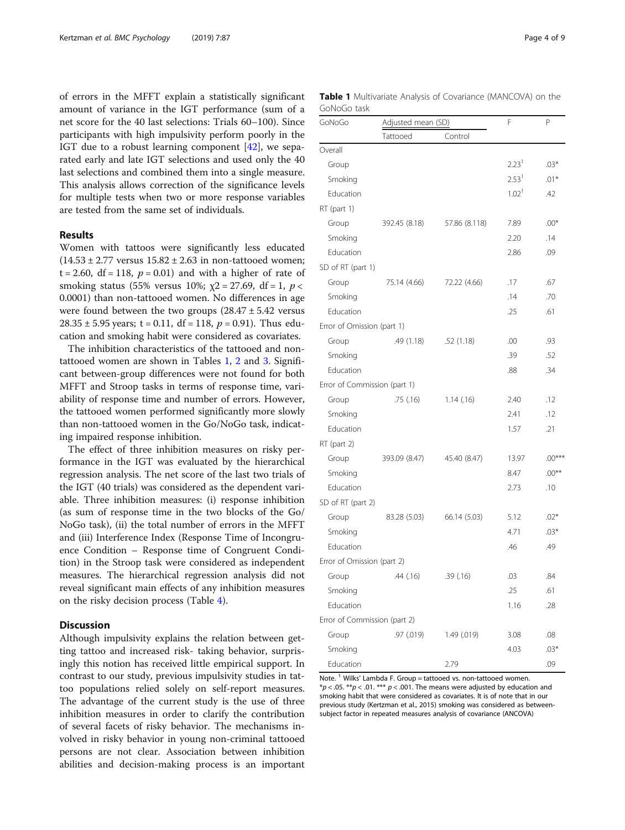of errors in the MFFT explain a statistically significant amount of variance in the IGT performance (sum of a net score for the 40 last selections: Trials 60–100). Since participants with high impulsivity perform poorly in the IGT due to a robust learning component [[42](#page-7-0)], we separated early and late IGT selections and used only the 40 last selections and combined them into a single measure. This analysis allows correction of the significance levels for multiple tests when two or more response variables are tested from the same set of individuals.

# Results

Women with tattoos were significantly less educated  $(14.53 \pm 2.77 \text{ versus } 15.82 \pm 2.63 \text{ in non-tattooed women};$  $t = 2.60$ , df = 118,  $p = 0.01$ ) and with a higher of rate of smoking status (55% versus 10%;  $\chi$ 2 = 27.69, df = 1, p < 0.0001) than non-tattooed women. No differences in age were found between the two groups  $(28.47 \pm 5.42 \text{ versus}$  $28.35 \pm 5.95$  years; t = 0.11, df = 118, p = 0.91). Thus education and smoking habit were considered as covariates.

The inhibition characteristics of the tattooed and nontattooed women are shown in Tables 1, [2](#page-4-0) and [3.](#page-4-0) Significant between-group differences were not found for both MFFT and Stroop tasks in terms of response time, variability of response time and number of errors. However, the tattooed women performed significantly more slowly than non-tattooed women in the Go/NoGo task, indicating impaired response inhibition.

The effect of three inhibition measures on risky performance in the IGT was evaluated by the hierarchical regression analysis. The net score of the last two trials of the IGT (40 trials) was considered as the dependent variable. Three inhibition measures: (i) response inhibition (as sum of response time in the two blocks of the Go/ NoGo task), (ii) the total number of errors in the MFFT and (iii) Interference Index (Response Time of Incongruence Condition – Response time of Congruent Condition) in the Stroop task were considered as independent measures. The hierarchical regression analysis did not reveal significant main effects of any inhibition measures on the risky decision process (Table [4\)](#page-5-0).

## **Discussion**

Although impulsivity explains the relation between getting tattoo and increased risk- taking behavior, surprisingly this notion has received little empirical support. In contrast to our study, previous impulsivity studies in tattoo populations relied solely on self-report measures. The advantage of the current study is the use of three inhibition measures in order to clarify the contribution of several facets of risky behavior. The mechanisms involved in risky behavior in young non-criminal tattooed persons are not clear. Association between inhibition abilities and decision-making process is an important

|             |  |  | Table 1 Multivariate Analysis of Covariance (MANCOVA) on the |  |
|-------------|--|--|--------------------------------------------------------------|--|
| GoNoGo task |  |  |                                                              |  |

| GoNoGo                       | Adjusted mean (SD) | F             | P                   |          |  |
|------------------------------|--------------------|---------------|---------------------|----------|--|
|                              | Tattooed           | Control       |                     |          |  |
| Overall                      |                    |               |                     |          |  |
| Group                        |                    |               | $2.23$ <sup>1</sup> | $.03*$   |  |
| Smoking                      |                    |               | 2.53 <sup>1</sup>   | $.01*$   |  |
| Education                    |                    |               | 1.02 <sup>1</sup>   | .42      |  |
| RT (part 1)                  |                    |               |                     |          |  |
| Group                        | 392.45 (8.18)      | 57.86 (8.118) | 7.89                | $.00*$   |  |
| Smoking                      |                    |               | 2.20                | .14      |  |
| Education                    |                    |               | 2.86                | .09      |  |
| SD of RT (part 1)            |                    |               |                     |          |  |
| Group                        | 75.14 (4.66)       | 72.22 (4.66)  | .17                 | .67      |  |
| Smoking                      |                    |               | .14                 | .70      |  |
| Education                    |                    |               | .25                 | .61      |  |
| Error of Omission (part 1)   |                    |               |                     |          |  |
| Group                        | .49(1.18)          | .52(1.18)     | .00                 | .93      |  |
| Smoking                      |                    |               | .39                 | .52      |  |
| Education                    |                    |               | .88                 | .34      |  |
| Error of Commission (part 1) |                    |               |                     |          |  |
| Group                        | .75(.16)           | 1.14(0.16)    | 2.40                | .12      |  |
| Smoking                      |                    |               | 2.41                | .12      |  |
| Education                    |                    |               | 1.57                | .21      |  |
| RT (part 2)                  |                    |               |                     |          |  |
| Group                        | 393.09 (8.47)      | 45.40 (8.47)  | 13.97               | $.00***$ |  |
| Smoking                      |                    |               | 8.47                | $.00**$  |  |
| Education                    |                    |               | 2.73                | .10      |  |
| SD of RT (part 2)            |                    |               |                     |          |  |
| Group                        | 83.28 (5.03)       | 66.14 (5.03)  | 5.12                | .02*     |  |
| Smoking                      |                    |               | 4.71                | $.03*$   |  |
| Education                    |                    |               | .46                 | .49      |  |
| Error of Omission (part 2)   |                    |               |                     |          |  |
| Group                        | .44 (.16)          | .39(.16)      | .03                 | .84      |  |
| Smoking                      |                    |               | .25                 | .61      |  |
| Education                    |                    |               | 1.16                | .28      |  |
| Error of Commission (part 2) |                    |               |                     |          |  |
| Group                        | .97 (.019)         | 1.49 (.019)   | 3.08                | .08      |  |
| Smoking                      |                    |               | 4.03                | $.03*$   |  |
| Education                    |                    | 2.79          |                     | .09      |  |

Note.  $1$  Wilks' Lambda F. Group = tattooed vs. non-tattooed women.  $*p < .05$ .  $**p < .01$ .  $***$   $p < .001$ . The means were adjusted by education and smoking habit that were considered as covariates. It is of note that in our previous study (Kertzman et al., 2015) smoking was considered as betweensubject factor in repeated measures analysis of covariance (ANCOVA)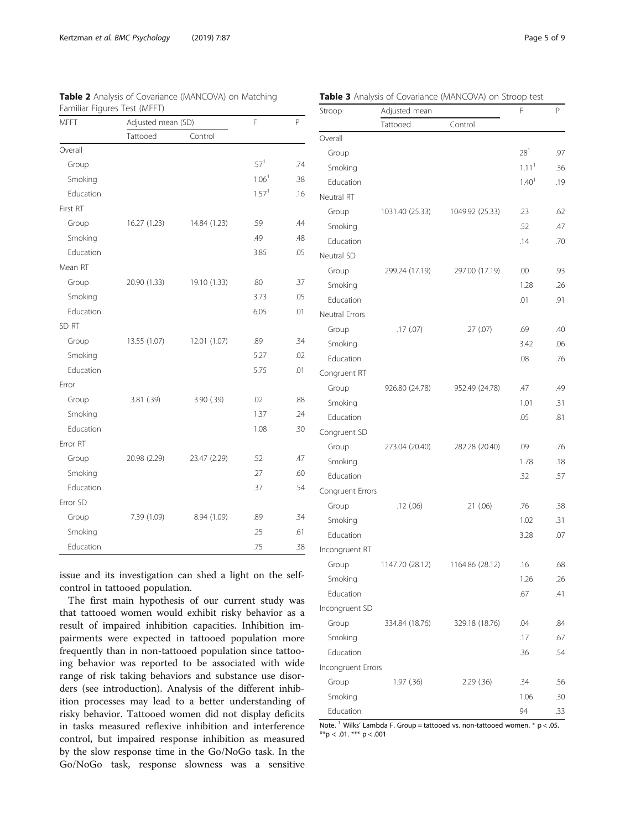| <b>MFFT</b>      | Adjusted mean (SD) | F            | P                 |     |
|------------------|--------------------|--------------|-------------------|-----|
|                  | Tattooed           |              |                   |     |
| Overall          |                    |              |                   |     |
| Group            |                    |              | .57 <sup>1</sup>  | .74 |
| Smoking          |                    |              | 1.06 <sup>1</sup> | .38 |
| Education        |                    |              | 1.57 <sup>1</sup> | .16 |
| First RT         |                    |              |                   |     |
| Group            | 16.27 (1.23)       | 14.84 (1.23) | .59               | .44 |
| Smoking          |                    |              | .49               | .48 |
| Education        |                    |              | 3.85              | .05 |
| Mean RT          |                    |              |                   |     |
| Group            | 20.90 (1.33)       | 19.10 (1.33) | .80               | .37 |
| Smoking          |                    |              | 3.73              | .05 |
| Education        |                    |              | 6.05              | .01 |
| SD <sub>RT</sub> |                    |              |                   |     |
| Group            | 13.55 (1.07)       | 12.01 (1.07) | .89               | .34 |
| Smoking          |                    |              | 5.27              | .02 |
| Education        |                    |              | 5.75              | .01 |
| Error            |                    |              |                   |     |
| Group            | 3.81 (.39)         | 3.90 (.39)   | .02               | .88 |
| Smoking          |                    |              | 1.37              | .24 |
| Education        |                    |              | 1.08              | .30 |
| Error RT         |                    |              |                   |     |
| Group            | 20.98 (2.29)       | 23.47 (2.29) | .52               | .47 |
| Smoking          |                    |              | .27               | .60 |
| Education        |                    |              | .37               | .54 |
| Error SD         |                    |              |                   |     |
| Group            | 7.39 (1.09)        | 8.94 (1.09)  | .89               | .34 |
| Smoking          |                    |              | .25               | .61 |
| Education        |                    |              | .75               | .38 |

<span id="page-4-0"></span>Table 2 Analysis of Covariance (MANCOVA) on Matching Familiar Figures Test (MFFT)

| Table 3 Analysis of Covariance (MANCOVA) on Stroop test |  |  |  |
|---------------------------------------------------------|--|--|--|
|---------------------------------------------------------|--|--|--|

| Stroop                | Adjusted mean   | F               | P                 |     |  |
|-----------------------|-----------------|-----------------|-------------------|-----|--|
|                       | Tattooed        | Control         |                   |     |  |
| Overall               |                 |                 |                   |     |  |
| Group                 |                 |                 | $28^{1}$          | .97 |  |
| Smoking               |                 |                 | 1.11 <sup>1</sup> | .36 |  |
| Education             |                 |                 | 1.40 <sup>1</sup> | .19 |  |
| Neutral RT            |                 |                 |                   |     |  |
| Group                 | 1031.40 (25.33) | 1049.92 (25.33) | .23               | .62 |  |
| Smoking               |                 |                 | .52               | .47 |  |
| Education             |                 |                 | .14               | .70 |  |
| Neutral SD            |                 |                 |                   |     |  |
| Group                 | 299.24 (17.19)  | 297.00 (17.19)  | .00               | .93 |  |
| Smoking               |                 |                 | 1.28              | .26 |  |
| Education             |                 |                 | .01               | .91 |  |
| <b>Neutral Errors</b> |                 |                 |                   |     |  |
| Group                 | .17(07)         | .27(.07)        | .69               | .40 |  |
| Smoking               |                 |                 | 3.42              | .06 |  |
| Education             |                 |                 | .08               | .76 |  |
| Congruent RT          |                 |                 |                   |     |  |
| Group                 | 926.80 (24.78)  | 952.49 (24.78)  | .47               | .49 |  |
| Smoking               |                 |                 | 1.01              | .31 |  |
| Education             |                 |                 | .05               | .81 |  |
| Congruent SD          |                 |                 |                   |     |  |
| Group                 | 273.04 (20.40)  | 282.28 (20.40)  | .09               | .76 |  |
| Smoking               |                 |                 | 1.78              | .18 |  |
| Education             |                 |                 | .32               | .57 |  |
| Congruent Errors      |                 |                 |                   |     |  |
| Group                 | .12(.06)        | .21(.06)        | .76               | .38 |  |
| Smoking               |                 |                 | 1.02              | .31 |  |
| Education             |                 |                 | 3.28              | .07 |  |
| Incongruent RT        |                 |                 |                   |     |  |
| Group                 | 1147.70 (28.12) | 1164.86 (28.12) | .16               | .68 |  |
| Smoking               |                 |                 | 1.26              | .26 |  |
| Education             |                 |                 | .67               | .41 |  |
| Incongruent SD        |                 |                 |                   |     |  |
| Group                 | 334.84 (18.76)  | 329.18 (18.76)  | .04               | .84 |  |
| Smoking               |                 |                 | .17               | .67 |  |
| Education             |                 |                 | .36               | .54 |  |
| Incongruent Errors    |                 |                 |                   |     |  |
| Group                 | 1.97(0.36)      | 2.29(.36)       | .34               | .56 |  |
| Smoking               |                 |                 | 1.06              | .30 |  |
| Education             |                 |                 | 94                | .33 |  |

issue and its investigation can shed a light on the selfcontrol in tattooed population. The first main hypothesis of our current study was

that tattooed women would exhibit risky behavior as a result of impaired inhibition capacities. Inhibition impairments were expected in tattooed population more frequently than in non-tattooed population since tattooing behavior was reported to be associated with wide range of risk taking behaviors and substance use disorders (see introduction). Analysis of the different inhibition processes may lead to a better understanding of risky behavior. Tattooed women did not display deficits in tasks measured reflexive inhibition and interference control, but impaired response inhibition as measured by the slow response time in the Go/NoGo task. In the Go/NoGo task, response slowness was a sensitive

\*\*p < .01. \*\*\* p < .001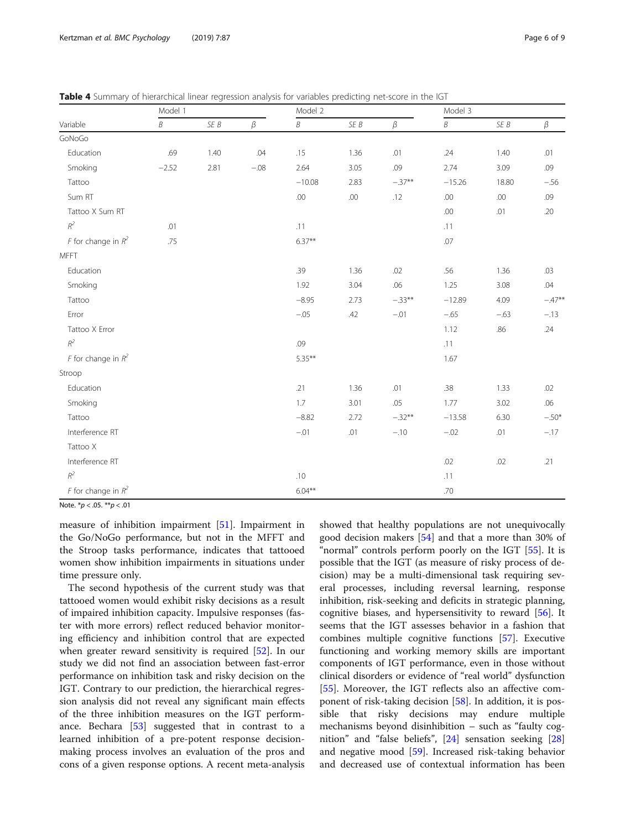|  | . |  |
|--|---|--|
|  |   |  |
|  |   |  |
|  |   |  |

<span id="page-5-0"></span>

|                       | Model 1          |      |         | Model 2          |      |          |                      | Model 3 |          |  |
|-----------------------|------------------|------|---------|------------------|------|----------|----------------------|---------|----------|--|
| Variable              | $\boldsymbol{B}$ | SEB  | $\beta$ | $\boldsymbol{B}$ | SEB  | $\beta$  | $\boldsymbol{\beta}$ | SEB     | $\beta$  |  |
| GoNoGo                |                  |      |         |                  |      |          |                      |         |          |  |
| Education             | .69              | 1.40 | .04     | .15              | 1.36 | .01      | .24                  | 1.40    | .01      |  |
| Smoking               | $-2.52$          | 2.81 | $-.08$  | 2.64             | 3.05 | .09      | 2.74                 | 3.09    | .09      |  |
| Tattoo                |                  |      |         | $-10.08$         | 2.83 | $-.37**$ | $-15.26$             | 18.80   | $-.56$   |  |
| Sum RT                |                  |      |         | .00              | .00  | .12      | .00                  | $.00\,$ | .09      |  |
| Tattoo X Sum RT       |                  |      |         |                  |      |          | .00                  | .01     | .20      |  |
| $R^2\,$               | .01              |      |         | .11              |      |          | .11                  |         |          |  |
| F for change in $R^2$ | .75              |      |         | $6.37**$         |      |          | .07                  |         |          |  |
| <b>MFFT</b>           |                  |      |         |                  |      |          |                      |         |          |  |
| Education             |                  |      |         | .39              | 1.36 | .02      | .56                  | 1.36    | .03      |  |
| Smoking               |                  |      |         | 1.92             | 3.04 | .06      | 1.25                 | 3.08    | .04      |  |
| Tattoo                |                  |      |         | $-8.95$          | 2.73 | $-.33**$ | $-12.89$             | 4.09    | $-.47**$ |  |
| Error                 |                  |      |         | $-.05$           | .42  | $-.01$   | $-.65$               | $-63$   | $-.13$   |  |
| Tattoo X Error        |                  |      |         |                  |      |          | 1.12                 | .86     | .24      |  |
| $R^2$                 |                  |      |         | .09              |      |          | .11                  |         |          |  |
| F for change in $R^2$ |                  |      |         | $5.35***$        |      |          | 1.67                 |         |          |  |
| Stroop                |                  |      |         |                  |      |          |                      |         |          |  |
| Education             |                  |      |         | .21              | 1.36 | .01      | .38                  | 1.33    | .02      |  |
| Smoking               |                  |      |         | 1.7              | 3.01 | .05      | 1.77                 | 3.02    | $.06\,$  |  |
| Tattoo                |                  |      |         | $-8.82$          | 2.72 | $-.32**$ | $-13.58$             | 6.30    | $-.50*$  |  |
| Interference RT       |                  |      |         | $-.01$           | .01  | $-.10$   | $-02$                | .01     | $-.17$   |  |
| Tattoo X              |                  |      |         |                  |      |          |                      |         |          |  |
| Interference RT       |                  |      |         |                  |      |          | .02                  | .02     | .21      |  |
| $\mathbb{R}^2$        |                  |      |         | .10              |      |          | .11                  |         |          |  |
| F for change in $R^2$ |                  |      |         | $6.04**$         |      |          | .70                  |         |          |  |

Note.  $* p < .05$ .  $** p < .01$ 

measure of inhibition impairment [\[51\]](#page-7-0). Impairment in the Go/NoGo performance, but not in the MFFT and the Stroop tasks performance, indicates that tattooed women show inhibition impairments in situations under time pressure only.

The second hypothesis of the current study was that tattooed women would exhibit risky decisions as a result of impaired inhibition capacity. Impulsive responses (faster with more errors) reflect reduced behavior monitoring efficiency and inhibition control that are expected when greater reward sensitivity is required [\[52](#page-8-0)]. In our study we did not find an association between fast-error performance on inhibition task and risky decision on the IGT. Contrary to our prediction, the hierarchical regression analysis did not reveal any significant main effects of the three inhibition measures on the IGT performance. Bechara [[53\]](#page-8-0) suggested that in contrast to a learned inhibition of a pre-potent response decisionmaking process involves an evaluation of the pros and cons of a given response options. A recent meta-analysis

showed that healthy populations are not unequivocally good decision makers [\[54](#page-8-0)] and that a more than 30% of "normal" controls perform poorly on the IGT [\[55](#page-8-0)]. It is possible that the IGT (as measure of risky process of decision) may be a multi-dimensional task requiring several processes, including reversal learning, response inhibition, risk-seeking and deficits in strategic planning, cognitive biases, and hypersensitivity to reward [[56](#page-8-0)]. It seems that the IGT assesses behavior in a fashion that combines multiple cognitive functions [[57](#page-8-0)]. Executive functioning and working memory skills are important components of IGT performance, even in those without clinical disorders or evidence of "real world" dysfunction [[55\]](#page-8-0). Moreover, the IGT reflects also an affective component of risk-taking decision [[58\]](#page-8-0). In addition, it is possible that risky decisions may endure multiple mechanisms beyond disinhibition – such as "faulty cognition" and "false beliefs", [\[24\]](#page-7-0) sensation seeking [[28](#page-7-0)] and negative mood [[59\]](#page-8-0). Increased risk-taking behavior and decreased use of contextual information has been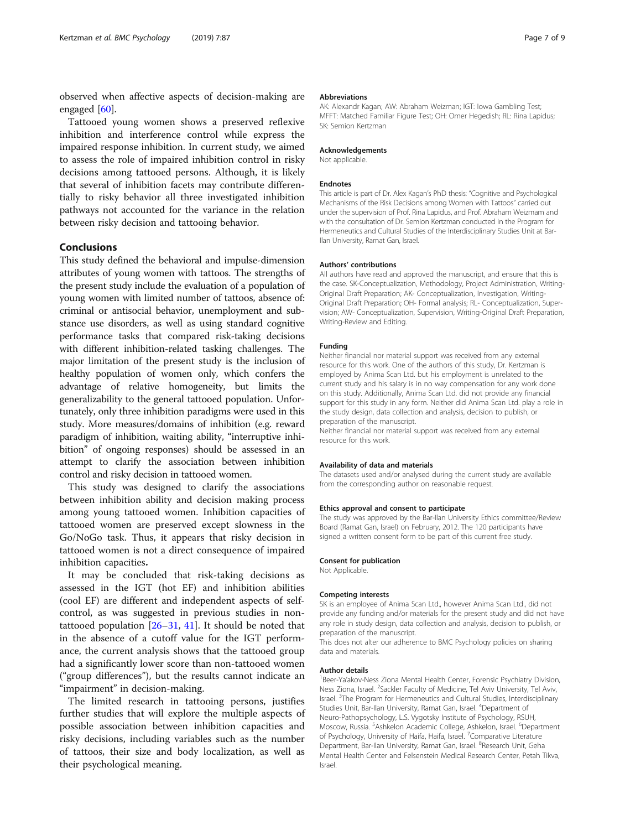observed when affective aspects of decision-making are engaged [\[60\]](#page-8-0).

Tattooed young women shows a preserved reflexive inhibition and interference control while express the impaired response inhibition. In current study, we aimed to assess the role of impaired inhibition control in risky decisions among tattooed persons. Although, it is likely that several of inhibition facets may contribute differentially to risky behavior all three investigated inhibition pathways not accounted for the variance in the relation between risky decision and tattooing behavior.

## Conclusions

This study defined the behavioral and impulse-dimension attributes of young women with tattoos. The strengths of the present study include the evaluation of a population of young women with limited number of tattoos, absence of: criminal or antisocial behavior, unemployment and substance use disorders, as well as using standard cognitive performance tasks that compared risk-taking decisions with different inhibition-related tasking challenges. The major limitation of the present study is the inclusion of healthy population of women only, which confers the advantage of relative homogeneity, but limits the generalizability to the general tattooed population. Unfortunately, only three inhibition paradigms were used in this study. More measures/domains of inhibition (e.g. reward paradigm of inhibition, waiting ability, "interruptive inhibition" of ongoing responses) should be assessed in an attempt to clarify the association between inhibition control and risky decision in tattooed women.

This study was designed to clarify the associations between inhibition ability and decision making process among young tattooed women. Inhibition capacities of tattooed women are preserved except slowness in the Go/NoGo task. Thus, it appears that risky decision in tattooed women is not a direct consequence of impaired inhibition capacities.

It may be concluded that risk-taking decisions as assessed in the IGT (hot EF) and inhibition abilities (cool EF) are different and independent aspects of selfcontrol, as was suggested in previous studies in nontattooed population  $[26-31, 41]$  $[26-31, 41]$  $[26-31, 41]$  $[26-31, 41]$  $[26-31, 41]$  $[26-31, 41]$  $[26-31, 41]$ . It should be noted that in the absence of a cutoff value for the IGT performance, the current analysis shows that the tattooed group had a significantly lower score than non-tattooed women ("group differences"), but the results cannot indicate an "impairment" in decision-making.

The limited research in tattooing persons, justifies further studies that will explore the multiple aspects of possible association between inhibition capacities and risky decisions, including variables such as the number of tattoos, their size and body localization, as well as their psychological meaning.

#### Abbreviations

AK: Alexandr Kagan; AW: Abraham Weizman; IGT: Iowa Gambling Test; MFFT: Matched Familiar Figure Test; OH: Omer Hegedish; RL: Rina Lapidus; SK: Semion Kertzman

#### Acknowledgements

Not applicable.

#### **Endnotes**

This article is part of Dr. Alex Kagan's PhD thesis: "Cognitive and Psychological Mechanisms of the Risk Decisions among Women with Tattoos" carried out under the supervision of Prof. Rina Lapidus, and Prof. Abraham Weizmam and with the consultation of Dr. Semion Kertzman conducted in the Program for Hermeneutics and Cultural Studies of the Interdisciplinary Studies Unit at Bar-Ilan University, Ramat Gan, Israel.

#### Authors' contributions

All authors have read and approved the manuscript, and ensure that this is the case. SK-Conceptualization, Methodology, Project Administration, Writing-Original Draft Preparation; AK- Conceptualization, Investigation, Writing-Original Draft Preparation; OH- Formal analysis; RL- Conceptualization, Supervision; AW- Conceptualization, Supervision, Writing-Original Draft Preparation, Writing-Review and Editing.

#### Funding

Neither financial nor material support was received from any external resource for this work. One of the authors of this study, Dr. Kertzman is employed by Anima Scan Ltd. but his employment is unrelated to the current study and his salary is in no way compensation for any work done on this study. Additionally, Anima Scan Ltd. did not provide any financial support for this study in any form. Neither did Anima Scan Ltd. play a role in the study design, data collection and analysis, decision to publish, or preparation of the manuscript.

Neither financial nor material support was received from any external resource for this work.

#### Availability of data and materials

The datasets used and/or analysed during the current study are available from the corresponding author on reasonable request.

#### Ethics approval and consent to participate

The study was approved by the Bar-Ilan University Ethics committee/Review Board (Ramat Gan, Israel) on February, 2012. The 120 participants have signed a written consent form to be part of this current free study.

#### Consent for publication

Not Applicable.

#### Competing interests

SK is an employee of Anima Scan Ltd., however Anima Scan Ltd., did not provide any funding and/or materials for the present study and did not have any role in study design, data collection and analysis, decision to publish, or preparation of the manuscript.

This does not alter our adherence to BMC Psychology policies on sharing data and materials.

#### Author details

<sup>1</sup> Beer-Ya'akov-Ness Ziona Mental Health Center, Forensic Psychiatry Division, Ness Ziona, Israel. <sup>2</sup>Sackler Faculty of Medicine, Tel Aviv University, Tel Aviv Israel. <sup>3</sup>The Program for Hermeneutics and Cultural Studies, Interdisciplinary Studies Unit, Bar-Ilan University, Ramat Gan, Israel. <sup>4</sup>Department of Neuro-Pathopsychology, L.S. Vygotsky Institute of Psychology, RSUH, Moscow, Russia. <sup>5</sup>Ashkelon Academic College, Ashkelon, Israel. <sup>6</sup>Department of Psychology, University of Haifa, Haifa, Israel. <sup>7</sup> Comparative Literature Department, Bar-Ilan University, Ramat Gan, Israel. <sup>8</sup>Research Unit, Geha Mental Health Center and Felsenstein Medical Research Center, Petah Tikva, Israel.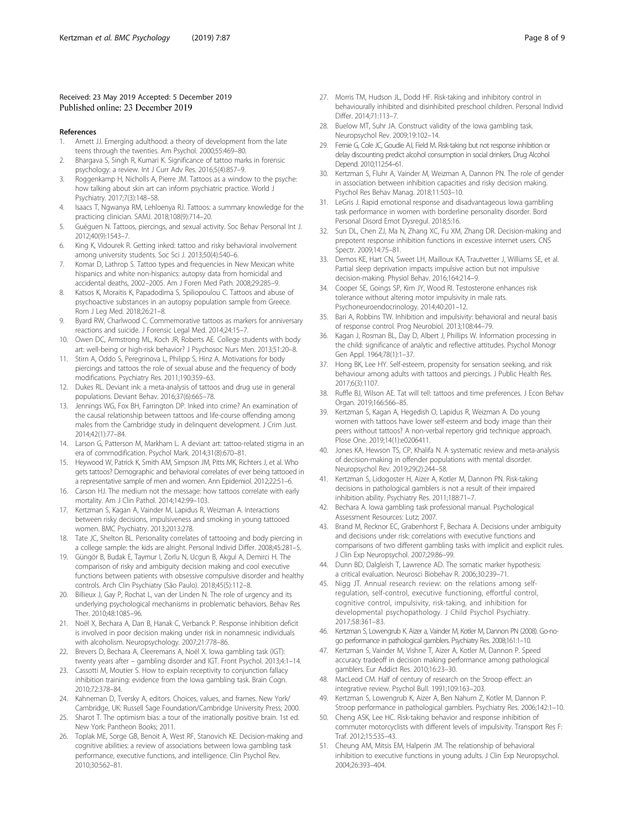## <span id="page-7-0"></span>Received: 23 May 2019 Accepted: 5 December 2019 Published online: 23 December 2019

#### References

- 1. Arnett JJ. Emerging adulthood: a theory of development from the late teens through the twenties. Am Psychol. 2000;55:469–80.
- 2. Bhargava S, Singh R, Kumari K. Significance of tattoo marks in forensic psychology: a review. Int J Curr Adv Res. 2016;5(4):857–9.
- 3. Roggenkamp H, Nicholls A, Pierre JM. Tattoos as a window to the psyche: how talking about skin art can inform psychiatric practice. World J Psychiatry. 2017;7(3):148–58.
- 4. Isaacs T, Ngwanya RM, Lehloenya RJ. Tattoos: a summary knowledge for the practicing clinician. SAMJ. 2018;108(9):714–20.
- 5. Guéguen N. Tattoos, piercings, and sexual activity. Soc Behav Personal Int J. 2012;40(9):1543–7.
- 6. King K, Vidourek R. Getting inked: tattoo and risky behavioral involvement among university students. Soc Sci J. 2013;50(4):540–6.
- 7. Komar D, Lathrop S. Tattoo types and frequencies in New Mexican white hispanics and white non-hispanics: autopsy data from homicidal and accidental deaths, 2002–2005. Am J Foren Med Path. 2008;29:285–9.
- 8. Katsos K, Moraitis K, Papadodima S, Spiliopoulou C. Tattoos and abuse of psychoactive substances in an autopsy population sample from Greece. Rom J Leg Med. 2018;26:21–8.
- 9. Byard RW, Charlwood C. Commemorative tattoos as markers for anniversary reactions and suicide. J Forensic Legal Med. 2014;24:15–7.
- 10. Owen DC, Armstrong ML, Koch JR, Roberts AE. College students with body art: well-being or high-risk behavior? J Psychosoc Nurs Men. 2013;51:20–8.
- 11. Stirn A, Oddo S, Peregrinova L, Philipp S, Hinz A. Motivations for body piercings and tattoos the role of sexual abuse and the frequency of body modifications. Psychiatry Res. 2011;190:359–63.
- 12. Dukes RL. Deviant ink: a meta-analysis of tattoos and drug use in general populations. Deviant Behav. 2016;37(6):665–78.
- 13. Jennings WG, Fox BH, Farrington DP. Inked into crime? An examination of the causal relationship between tattoos and life-course offending among males from the Cambridge study in delinquent development. J Crim Just. 2014;42(1):77–84.
- 14. Larson G, Patterson M, Markham L. A deviant art: tattoo-related stigma in an era of commodification. Psychol Mark. 2014;31(8):670–81.
- 15. Heywood W, Patrick K, Smith AM, Simpson JM, Pitts MK, Richters J, et al. Who gets tattoos? Demographic and behavioral correlates of ever being tattooed in a representative sample of men and women. Ann Epidemiol. 2012;22:51–6.
- 16. Carson HJ. The medium not the message: how tattoos correlate with early mortality. Am J Clin Pathol. 2014;142:99–103.
- 17. Kertzman S, Kagan A, Vainder M, Lapidus R, Weizman A. Interactions between risky decisions, impulsiveness and smoking in young tattooed women. BMC Psychiatry. 2013;2013:278.
- 18. Tate JC, Shelton BL. Personality correlates of tattooing and body piercing in a college sample: the kids are alright. Personal Individ Differ. 2008;45:281–5.
- 19. Güngör B, Budak E, Taymur I, Zorlu N, Ucgun B, Akgul A, Demirci H. The comparison of risky and ambiguity decision making and cool executive functions between patients with obsessive compulsive disorder and healthy controls. Arch Clin Psychiatry (São Paulo). 2018;45(5):112–8.
- 20. Billieux J, Gay P, Rochat L, van der Linden N. The role of urgency and its underlying psychological mechanisms in problematic behaviors. Behav Res Ther. 2010;48:1085–96.
- 21. Noël X, Bechara A, Dan B, Hanak C, Verbanck P. Response inhibition deficit is involved in poor decision making under risk in nonamnesic individuals with alcoholism. Neuropsychology. 2007;21:778–86.
- 22. Brevers D, Bechara A, Cleeremans A, Noël X. Iowa gambling task (IGT): twenty years after – gambling disorder and IGT. Front Psychol. 2013;4:1–14.
- 23. Cassotti M, Moutier S. How to explain receptivity to conjunction fallacy inhibition training: evidence from the Iowa gambling task. Brain Cogn. 2010;72:378–84.
- 24. Kahneman D, Tversky A, editors. Choices, values, and frames. New York/ Cambridge, UK: Russell Sage Foundation/Cambridge University Press; 2000.
- 25. Sharot T. The optimism bias: a tour of the irrationally positive brain. 1st ed. New York: Pantheon Books; 2011.
- 26. Toplak ME, Sorge GB, Benoit A, West RF, Stanovich KE. Decision-making and cognitive abilities: a review of associations between Iowa gambling task performance, executive functions, and intelligence. Clin Psychol Rev. 2010;30:562–81.
- 27. Morris TM, Hudson JL, Dodd HF. Risk-taking and inhibitory control in behaviourally inhibited and disinhibited preschool children. Personal Individ Differ. 2014;71:113–7.
- 28. Buelow MT, Suhr JA. Construct validity of the Iowa gambling task. Neuropsychol Rev. 2009;19:102–14.
- 29. Fernie G, Cole JC, Goudie AJ, Field M. Risk-taking but not response inhibition or delay discounting predict alcohol consumption in social drinkers. Drug Alcohol Depend. 2010;112:54–61.
- 30. Kertzman S, Fluhr A, Vainder M, Weizman A, Dannon PN. The role of gender in association between inhibition capacities and risky decision making. Psychol Res Behav Manag. 2018;11:503–10.
- 31. LeGris J. Rapid emotional response and disadvantageous Iowa gambling task performance in women with borderline personality disorder. Bord Personal Disord Emot Dysregul. 2018;5:16.
- 32. Sun DL, Chen ZJ, Ma N, Zhang XC, Fu XM, Zhang DR. Decision-making and prepotent response inhibition functions in excessive internet users. CNS Spectr. 2009;14:75–81.
- 33. Demos KE, Hart CN, Sweet LH, Mailloux KA, Trautvetter J, Williams SE, et al. Partial sleep deprivation impacts impulsive action but not impulsive decision-making. Physiol Behav. 2016;164:214–9.
- 34. Cooper SE, Goings SP, Kim JY, Wood RI. Testosterone enhances risk tolerance without altering motor impulsivity in male rats. Psychoneuroendocrinology. 2014;40:201–12.
- 35. Bari A, Robbins TW. Inhibition and impulsivity: behavioral and neural basis of response control. Prog Neurobiol. 2013;108:44–79.
- 36. Kagan J, Rosman BL, Day D, Albert J, Phillips W. Information processing in the child: significance of analytic and reflective attitudes. Psychol Monogr Gen Appl. 1964;78(1):1–37.
- 37. Hong BK, Lee HY. Self-esteem, propensity for sensation seeking, and risk behaviour among adults with tattoos and piercings. J Public Health Res. 2017;6(3):1107.
- 38. Ruffle BJ, Wilson AE. Tat will tell: tattoos and time preferences. J Econ Behav Organ. 2019;166:566–85.
- 39. Kertzman S, Kagan A, Hegedish O, Lapidus R, Weizman A. Do young women with tattoos have lower self-esteem and body image than their peers without tattoos? A non-verbal repertory grid technique approach. Plose One. 2019;14(1):e0206411.
- 40. Jones KA, Hewson TS, CP, Khalifa N. A systematic review and meta-analysis of decision-making in offender populations with mental disorder. Neuropsychol Rev. 2019;29(2):244–58.
- 41. Kertzman S, Lidogoster H, Aizer A, Kotler M, Dannon PN. Risk-taking decisions in pathological gamblers is not a result of their impaired inhibition ability. Psychiatry Res. 2011;188:71–7.
- 42. Bechara A. Iowa gambling task professional manual. Psychological Assessment Resources: Lutz; 2007.
- 43. Brand M, Recknor EC, Grabenhorst F, Bechara A. Decisions under ambiguity and decisions under risk: correlations with executive functions and comparisons of two different gambling tasks with implicit and explicit rules. J Clin Exp Neuropsychol. 2007;29:86–99.
- 44. Dunn BD, Dalgleish T, Lawrence AD. The somatic marker hypothesis: a critical evaluation. Neurosci Biobehav R. 2006;30:239–71.
- 45. Nigg JT. Annual research review: on the relations among selfregulation, self-control, executive functioning, effortful control, cognitive control, impulsivity, risk-taking, and inhibition for developmental psychopathology. J Child Psychol Psychiatry. 2017;58:361–83.
- 46. Kertzman S, Lowengrub K. Aizer a, Vainder M, Kotler M, Dannon PN (2008). Go-nogo performance in pathological gamblers. Psychiatry Res. 2008;161:1–10.
- 47. Kertzman S, Vainder M, Vishne T, Aizer A, Kotler M, Dannon P. Speed accuracy tradeoff in decision making performance among pathological gamblers. Eur Addict Res. 2010;16:23–30.
- 48. MacLeod CM. Half of century of research on the Stroop effect: an integrative review. Psychol Bull. 1991;109:163–203.
- 49. Kertzman S, Lowengrub K, Aizer A, Ben Nahum Z, Kotler M, Dannon P. Stroop performance in pathological gamblers. Psychiatry Res. 2006;142:1–10.
- 50. Cheng ASK, Lee HC. Risk-taking behavior and response inhibition of commuter motorcyclists with different levels of impulsivity. Transport Res F: Traf. 2012;15:535–43.
- 51. Cheung AM, Mitsis EM, Halperin JM. The relationship of behavioral inhibition to executive functions in young adults. J Clin Exp Neuropsychol. 2004;26:393–404.